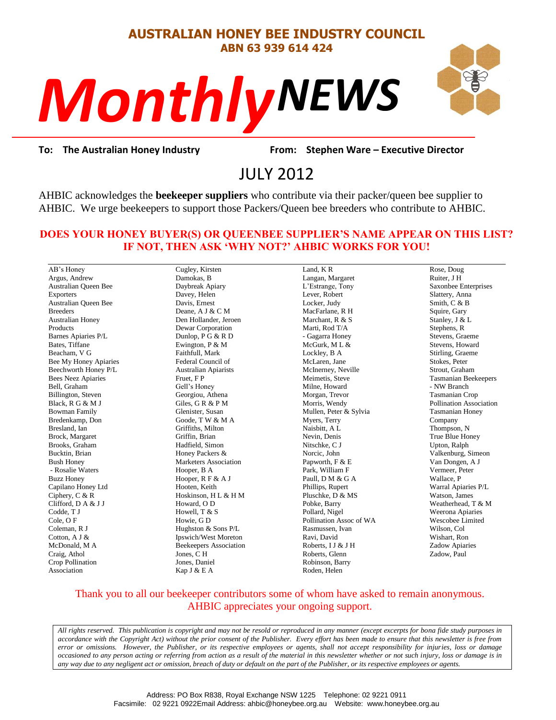# **AUSTRALIAN HONEY BEE INDUSTRY COUNCIL ABN 63 939 614 424**

# *NEWS Monthly*



*P*rom: Stephe<br>2012 **To: The Australian Honey Industry From: Stephen Ware – Executive Director**

# JULY 2012

AHBIC acknowledges the **beekeeper suppliers** who contribute via their packer/queen bee supplier to AHBIC. We urge beekeepers to support those Packers/Queen bee breeders who contribute to AHBIC.

### **DOES YOUR HONEY BUYER(S) OR QUEENBEE SUPPLIER'S NAME APPEAR ON THIS LIST? IF NOT, THEN ASK 'WHY NOT?' AHBIC WORKS FOR YOU!**

AB's Honey Argus, Andrew Australian Queen Bee Exporters Australian Queen Bee Breeders Australian Honey Products Barnes Apiaries P/L Bates, Tiffane Beacham, V G Bee My Honey Apiaries Beechworth Honey P/L Bees Neez Apiaries Bell, Graham Billington, Steven Black, R G & M J Bowman Family Bredenkamp, Don Bresland, Ian Brock, Margaret Brooks, Graham Bucktin, Brian Bush Honey - Rosalie Waters Buzz Honey Capilano Honey Ltd Ciphery, C & R Clifford, D A & J J Codde, T J Cole, O F Coleman, R J Cotton, A J & McDonald, M A Craig, Athol Crop Pollination Association

Cugley, Kirsten Damokas, B Daybreak Apiary Davey, Helen Davis, Ernest Deane, A J & C M Den Hollander, Jeroen Dewar Corporation Dunlop, P G & R D Ewington, P & M Faithfull, Mark Federal Council of Australian Apiarists Fruet, F P Gell's Honey Georgiou, Athena Giles, G R & P M Glenister, Susan Goode, T W & M A Griffiths, Milton Griffin, Brian Hadfield, Simon Honey Packers & Marketers Association Hooper, B A Hooper, R F & A J Hooten, Keith Hoskinson, H L & H M Howard, O D Howell, T & S Howie, G D Hughston & Sons P/L Ipswich/West Moreton Beekeepers Association Jones, C H Jones, Daniel

Kap J & E A

Land, K R Langan, Margaret L'Estrange, Tony Lever, Robert Locker, Judy MacFarlane, R H Marchant, R & S Marti, Rod T/A - Gagarra Honey McGurk, M L & Lockley, B A McLaren, Jane McInerney, Neville Meimetis, Steve Milne, Howard Morgan, Trevor Morris, Wendy Mullen, Peter & Sylvia Myers, Terry Naisbitt, A L Nevin, Denis Nitschke, C J Norcic, John Papworth, F & E Park, William F Paull, D M & G A Phillips, Rupert Pluschke, D & MS Pobke, Barry Pollard, Nigel Pollination Assoc of WA Rasmussen, Ivan Ravi, David Roberts, I J & J H Roberts, Glenn Robinson, Barry Roden, Helen

Rose, Doug Ruiter, J H Saxonbee Enterprises Slattery, Anna Smith, C & B Squire, Gary Stanley, J & L Stephens, R Stevens, Graeme Stevens, Howard Stirling, Graeme Stokes, Peter Strout, Graham Tasmanian Beekeepers - NW Branch Tasmanian Crop Pollination Association Tasmanian Honey Company Thompson, N True Blue Honey Upton, Ralph Valkenburg, Simeon Van Dongen, A J Vermeer, Peter Wallace, P Warral Apiaries P/L Watson, James Weatherhead, T & M Weerona Aniaries Wescobee Limited Wilson, Col Wishart, Ron Zadow Apiaries Zadow, Paul

# Thank you to all our beekeeper contributors some of whom have asked to remain anonymous. AHBIC appreciates your ongoing support.

*All rights reserved. This publication is copyright and may not be resold or reproduced in any manner (except excerpts for bona fide study purposes in accordance with the Copyright Act) without the prior consent of the Publisher. Every effort has been made to ensure that this newsletter is free from error or omissions. However, the Publisher, or its respective employees or agents, shall not accept responsibility for injuries, loss or damage occasioned to any person acting or referring from action as a result of the material in this newsletter whether or not such injury, loss or damage is in any way due to any negligent act or omission, breach of duty or default on the part of the Publisher, or its respective employees or agents.*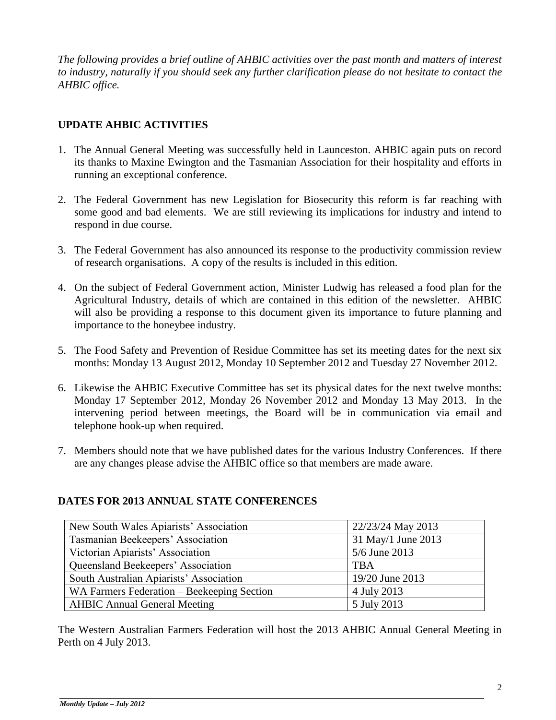*The following provides a brief outline of AHBIC activities over the past month and matters of interest to industry, naturally if you should seek any further clarification please do not hesitate to contact the AHBIC office.*

# **UPDATE AHBIC ACTIVITIES**

- 1. The Annual General Meeting was successfully held in Launceston. AHBIC again puts on record its thanks to Maxine Ewington and the Tasmanian Association for their hospitality and efforts in running an exceptional conference.
- 2. The Federal Government has new Legislation for Biosecurity this reform is far reaching with some good and bad elements. We are still reviewing its implications for industry and intend to respond in due course.
- 3. The Federal Government has also announced its response to the productivity commission review of research organisations. A copy of the results is included in this edition.
- 4. On the subject of Federal Government action, Minister Ludwig has released a food plan for the Agricultural Industry, details of which are contained in this edition of the newsletter. AHBIC will also be providing a response to this document given its importance to future planning and importance to the honeybee industry.
- 5. The Food Safety and Prevention of Residue Committee has set its meeting dates for the next six months: Monday 13 August 2012, Monday 10 September 2012 and Tuesday 27 November 2012.
- 6. Likewise the AHBIC Executive Committee has set its physical dates for the next twelve months: Monday 17 September 2012, Monday 26 November 2012 and Monday 13 May 2013. In the intervening period between meetings, the Board will be in communication via email and telephone hook-up when required.
- 7. Members should note that we have published dates for the various Industry Conferences. If there are any changes please advise the AHBIC office so that members are made aware.

# **DATES FOR 2013 ANNUAL STATE CONFERENCES**

| New South Wales Apiarists' Association     | 22/23/24 May 2013  |
|--------------------------------------------|--------------------|
| Tasmanian Beekeepers' Association          | 31 May/1 June 2013 |
| Victorian Apiarists' Association           | 5/6 June 2013      |
| Queensland Beekeepers' Association         | <b>TBA</b>         |
| South Australian Apiarists' Association    | 19/20 June 2013    |
| WA Farmers Federation – Beekeeping Section | 4 July 2013        |
| <b>AHBIC Annual General Meeting</b>        | 5 July 2013        |

The Western Australian Farmers Federation will host the 2013 AHBIC Annual General Meeting in Perth on 4 July 2013.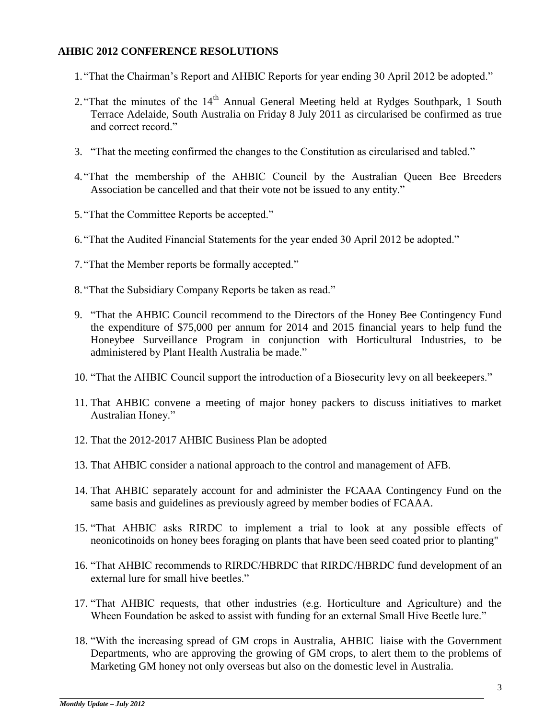# **AHBIC 2012 CONFERENCE RESOLUTIONS**

- 1."That the Chairman's Report and AHBIC Reports for year ending 30 April 2012 be adopted."
- 2. "That the minutes of the 14<sup>th</sup> Annual General Meeting held at Rydges Southpark, 1 South Terrace Adelaide, South Australia on Friday 8 July 2011 as circularised be confirmed as true and correct record."
- 3. "That the meeting confirmed the changes to the Constitution as circularised and tabled."
- 4."That the membership of the AHBIC Council by the Australian Queen Bee Breeders Association be cancelled and that their vote not be issued to any entity."
- 5."That the Committee Reports be accepted."
- 6."That the Audited Financial Statements for the year ended 30 April 2012 be adopted."
- 7."That the Member reports be formally accepted."
- 8."That the Subsidiary Company Reports be taken as read."
- 9. "That the AHBIC Council recommend to the Directors of the Honey Bee Contingency Fund the expenditure of \$75,000 per annum for 2014 and 2015 financial years to help fund the Honeybee Surveillance Program in conjunction with Horticultural Industries, to be administered by Plant Health Australia be made."
- 10. "That the AHBIC Council support the introduction of a Biosecurity levy on all beekeepers."
- 11. That AHBIC convene a meeting of major honey packers to discuss initiatives to market Australian Honey."
- 12. That the 2012-2017 AHBIC Business Plan be adopted
- 13. That AHBIC consider a national approach to the control and management of AFB.
- 14. That AHBIC separately account for and administer the FCAAA Contingency Fund on the same basis and guidelines as previously agreed by member bodies of FCAAA.
- 15. "That AHBIC asks RIRDC to implement a trial to look at any possible effects of neonicotinoids on honey bees foraging on plants that have been seed coated prior to planting"
- 16. "That AHBIC recommends to RIRDC/HBRDC that RIRDC/HBRDC fund development of an external lure for small hive beetles."
- 17. "That AHBIC requests, that other industries (e.g. Horticulture and Agriculture) and the Wheen Foundation be asked to assist with funding for an external Small Hive Beetle lure."
- 18. "With the increasing spread of GM crops in Australia, AHBIC liaise with the Government Departments, who are approving the growing of GM crops, to alert them to the problems of Marketing GM honey not only overseas but also on the domestic level in Australia.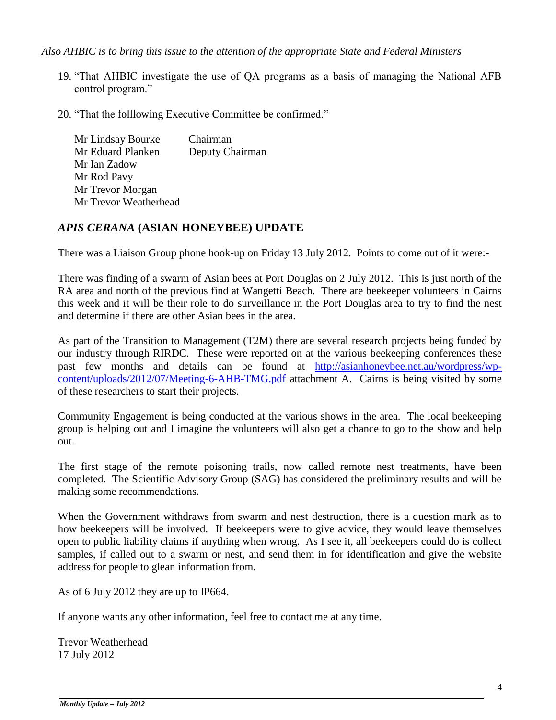*Also AHBIC is to bring this issue to the attention of the appropriate State and Federal Ministers*

- 19. "That AHBIC investigate the use of QA programs as a basis of managing the National AFB control program."
- 20. "That the folllowing Executive Committee be confirmed."

Mr Lindsay Bourke Chairman Mr Eduard Planken Deputy Chairman Mr Ian Zadow Mr Rod Pavy Mr Trevor Morgan Mr Trevor Weatherhead

# *APIS CERANA* **(ASIAN HONEYBEE) UPDATE**

There was a Liaison Group phone hook-up on Friday 13 July 2012. Points to come out of it were:-

There was finding of a swarm of Asian bees at Port Douglas on 2 July 2012. This is just north of the RA area and north of the previous find at Wangetti Beach. There are beekeeper volunteers in Cairns this week and it will be their role to do surveillance in the Port Douglas area to try to find the nest and determine if there are other Asian bees in the area.

As part of the Transition to Management (T2M) there are several research projects being funded by our industry through RIRDC. These were reported on at the various beekeeping conferences these past few months and details can be found at [http://asianhoneybee.net.au/wordpress/wp](http://asianhoneybee.net.au/wordpress/wp-content/uploads/2012/07/Meeting-6-AHB-TMG.pdf)[content/uploads/2012/07/Meeting-6-AHB-TMG.pdf](http://asianhoneybee.net.au/wordpress/wp-content/uploads/2012/07/Meeting-6-AHB-TMG.pdf) attachment A. Cairns is being visited by some of these researchers to start their projects.

Community Engagement is being conducted at the various shows in the area. The local beekeeping group is helping out and I imagine the volunteers will also get a chance to go to the show and help out.

The first stage of the remote poisoning trails, now called remote nest treatments, have been completed. The Scientific Advisory Group (SAG) has considered the preliminary results and will be making some recommendations.

When the Government withdraws from swarm and nest destruction, there is a question mark as to how beekeepers will be involved. If beekeepers were to give advice, they would leave themselves open to public liability claims if anything when wrong. As I see it, all beekeepers could do is collect samples, if called out to a swarm or nest, and send them in for identification and give the website address for people to glean information from.

As of 6 July 2012 they are up to IP664.

If anyone wants any other information, feel free to contact me at any time.

Trevor Weatherhead 17 July 2012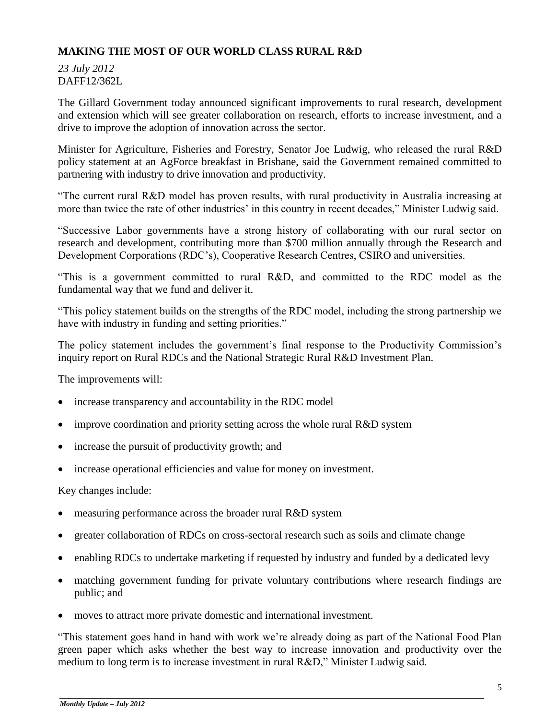# **MAKING THE MOST OF OUR WORLD CLASS RURAL R&D**

*23 July 2012* DAFF12/362L

The Gillard Government today announced significant improvements to rural research, development and extension which will see greater collaboration on research, efforts to increase investment, and a drive to improve the adoption of innovation across the sector.

Minister for Agriculture, Fisheries and Forestry, Senator Joe Ludwig, who released the rural R&D policy statement at an AgForce breakfast in Brisbane, said the Government remained committed to partnering with industry to drive innovation and productivity.

"The current rural R&D model has proven results, with rural productivity in Australia increasing at more than twice the rate of other industries' in this country in recent decades," Minister Ludwig said.

"Successive Labor governments have a strong history of collaborating with our rural sector on research and development, contributing more than \$700 million annually through the Research and Development Corporations (RDC's), Cooperative Research Centres, CSIRO and universities.

"This is a government committed to rural R&D, and committed to the RDC model as the fundamental way that we fund and deliver it.

"This policy statement builds on the strengths of the RDC model, including the strong partnership we have with industry in funding and setting priorities."

The policy statement includes the government's final response to the Productivity Commission's inquiry report on Rural RDCs and the National Strategic Rural R&D Investment Plan.

The improvements will:

- increase transparency and accountability in the RDC model
- improve coordination and priority setting across the whole rural R&D system
- increase the pursuit of productivity growth; and
- increase operational efficiencies and value for money on investment.

Key changes include:

- measuring performance across the broader rural R&D system
- greater collaboration of RDCs on cross-sectoral research such as soils and climate change
- enabling RDCs to undertake marketing if requested by industry and funded by a dedicated levy
- matching government funding for private voluntary contributions where research findings are public; and
- moves to attract more private domestic and international investment.

"This statement goes hand in hand with work we're already doing as part of the National Food Plan green paper which asks whether the best way to increase innovation and productivity over the medium to long term is to increase investment in rural R&D," Minister Ludwig said.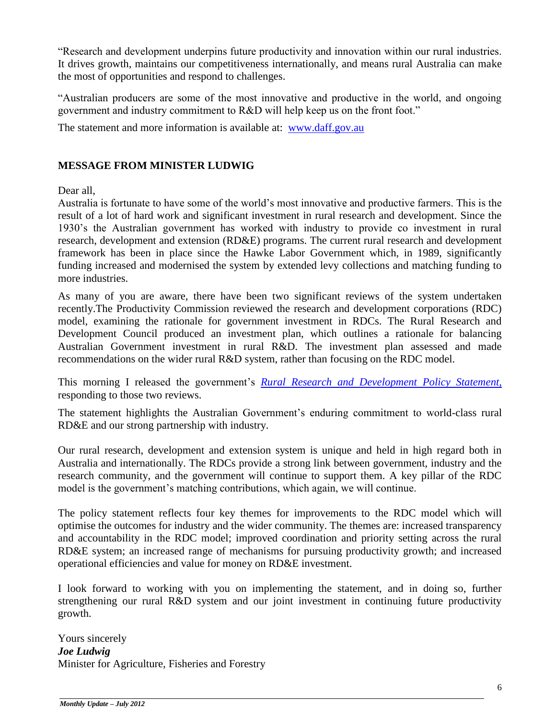"Research and development underpins future productivity and innovation within our rural industries. It drives growth, maintains our competitiveness internationally, and means rural Australia can make the most of opportunities and respond to challenges.

"Australian producers are some of the most innovative and productive in the world, and ongoing government and industry commitment to R&D will help keep us on the front foot."

The statement and more information is available at: [www.daff.gov.au](http://www.daff.gov.au/)

# **MESSAGE FROM MINISTER LUDWIG**

Dear all,

Australia is fortunate to have some of the world's most innovative and productive farmers. This is the result of a lot of hard work and significant investment in rural research and development. Since the 1930's the Australian government has worked with industry to provide co investment in rural research, development and extension (RD&E) programs. The current rural research and development framework has been in place since the Hawke Labor Government which, in 1989, significantly funding increased and modernised the system by extended levy collections and matching funding to more industries.

As many of you are aware, there have been two significant reviews of the system undertaken recently.The Productivity Commission reviewed the research and development corporations (RDC) model, examining the rationale for government investment in RDCs. The Rural Research and Development Council produced an investment plan, which outlines a rationale for balancing Australian Government investment in rural R&D. The investment plan assessed and made recommendations on the wider rural R&D system, rather than focusing on the RDC model.

This morning I released the government's *[Rural Research and Development Policy Statement,](http://daff.gov.au/__data/assets/pdf_file/0004/2176222/research-and-development-policy-statement.pdf)* responding to those two reviews.

The statement highlights the Australian Government's enduring commitment to world-class rural RD&E and our strong partnership with industry.

Our rural research, development and extension system is unique and held in high regard both in Australia and internationally. The RDCs provide a strong link between government, industry and the research community, and the government will continue to support them. A key pillar of the RDC model is the government's matching contributions, which again, we will continue.

The policy statement reflects four key themes for improvements to the RDC model which will optimise the outcomes for industry and the wider community. The themes are: increased transparency and accountability in the RDC model; improved coordination and priority setting across the rural RD&E system; an increased range of mechanisms for pursuing productivity growth; and increased operational efficiencies and value for money on RD&E investment.

I look forward to working with you on implementing the statement, and in doing so, further strengthening our rural R&D system and our joint investment in continuing future productivity growth.

Yours sincerely *Joe Ludwig* Minister for Agriculture, Fisheries and Forestry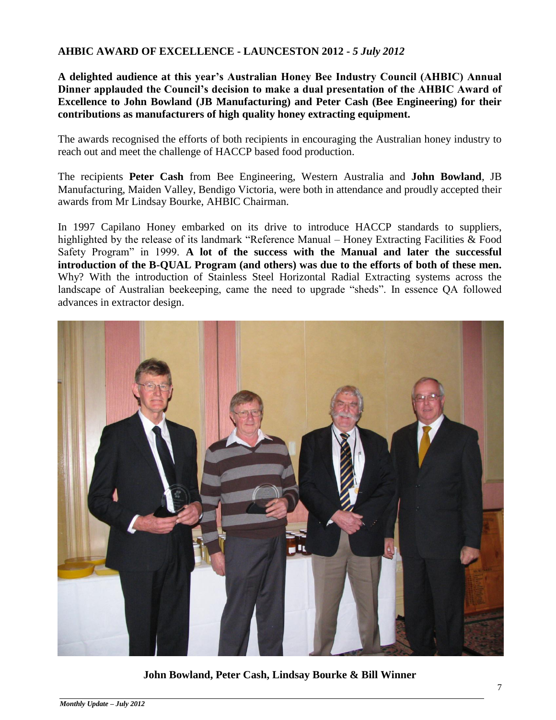## **AHBIC AWARD OF EXCELLENCE - LAUNCESTON 2012 -** *5 July 2012*

**A delighted audience at this year's Australian Honey Bee Industry Council (AHBIC) Annual Dinner applauded the Council's decision to make a dual presentation of the AHBIC Award of Excellence to John Bowland (JB Manufacturing) and Peter Cash (Bee Engineering) for their contributions as manufacturers of high quality honey extracting equipment.** 

The awards recognised the efforts of both recipients in encouraging the Australian honey industry to reach out and meet the challenge of HACCP based food production.

The recipients **Peter Cash** from Bee Engineering, Western Australia and **John Bowland**, JB Manufacturing, Maiden Valley, Bendigo Victoria, were both in attendance and proudly accepted their awards from Mr Lindsay Bourke, AHBIC Chairman.

In 1997 Capilano Honey embarked on its drive to introduce HACCP standards to suppliers, highlighted by the release of its landmark "Reference Manual – Honey Extracting Facilities & Food Safety Program" in 1999. **A lot of the success with the Manual and later the successful introduction of the B-QUAL Program (and others) was due to the efforts of both of these men.** Why? With the introduction of Stainless Steel Horizontal Radial Extracting systems across the landscape of Australian beekeeping, came the need to upgrade "sheds". In essence QA followed advances in extractor design.



**John Bowland, Peter Cash, Lindsay Bourke & Bill Winner**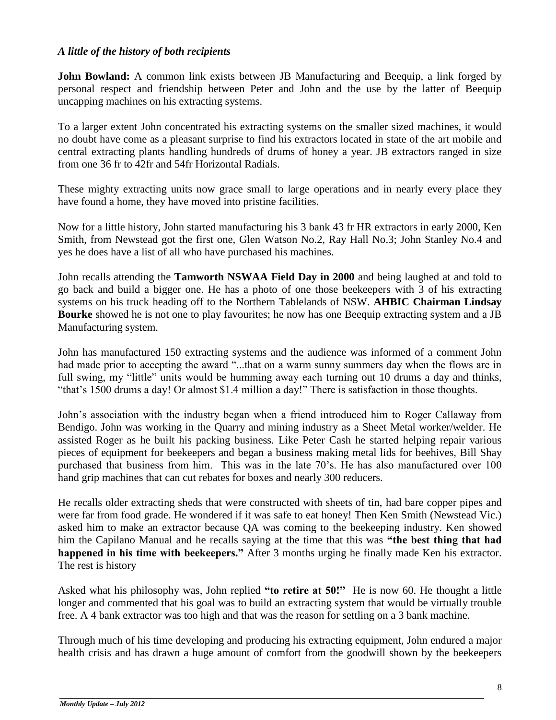#### *A little of the history of both recipients*

**John Bowland:** A common link exists between JB Manufacturing and Beequip, a link forged by personal respect and friendship between Peter and John and the use by the latter of Beequip uncapping machines on his extracting systems.

To a larger extent John concentrated his extracting systems on the smaller sized machines, it would no doubt have come as a pleasant surprise to find his extractors located in state of the art mobile and central extracting plants handling hundreds of drums of honey a year. JB extractors ranged in size from one 36 fr to 42fr and 54fr Horizontal Radials.

These mighty extracting units now grace small to large operations and in nearly every place they have found a home, they have moved into pristine facilities.

Now for a little history, John started manufacturing his 3 bank 43 fr HR extractors in early 2000, Ken Smith, from Newstead got the first one, Glen Watson No.2, Ray Hall No.3; John Stanley No.4 and yes he does have a list of all who have purchased his machines.

John recalls attending the **Tamworth NSWAA Field Day in 2000** and being laughed at and told to go back and build a bigger one. He has a photo of one those beekeepers with 3 of his extracting systems on his truck heading off to the Northern Tablelands of NSW. **AHBIC Chairman Lindsay Bourke** showed he is not one to play favourites; he now has one Beequip extracting system and a JB Manufacturing system.

John has manufactured 150 extracting systems and the audience was informed of a comment John had made prior to accepting the award "...that on a warm sunny summers day when the flows are in full swing, my "little" units would be humming away each turning out 10 drums a day and thinks, "that's 1500 drums a day! Or almost \$1.4 million a day!" There is satisfaction in those thoughts.

John's association with the industry began when a friend introduced him to Roger Callaway from Bendigo. John was working in the Quarry and mining industry as a Sheet Metal worker/welder. He assisted Roger as he built his packing business. Like Peter Cash he started helping repair various pieces of equipment for beekeepers and began a business making metal lids for beehives, Bill Shay purchased that business from him. This was in the late 70's. He has also manufactured over 100 hand grip machines that can cut rebates for boxes and nearly 300 reducers.

He recalls older extracting sheds that were constructed with sheets of tin, had bare copper pipes and were far from food grade. He wondered if it was safe to eat honey! Then Ken Smith (Newstead Vic.) asked him to make an extractor because QA was coming to the beekeeping industry. Ken showed him the Capilano Manual and he recalls saying at the time that this was **"the best thing that had happened in his time with beekeepers."** After 3 months urging he finally made Ken his extractor. The rest is history

Asked what his philosophy was, John replied **"to retire at 50!"** He is now 60. He thought a little longer and commented that his goal was to build an extracting system that would be virtually trouble free. A 4 bank extractor was too high and that was the reason for settling on a 3 bank machine.

Through much of his time developing and producing his extracting equipment, John endured a major health crisis and has drawn a huge amount of comfort from the goodwill shown by the beekeepers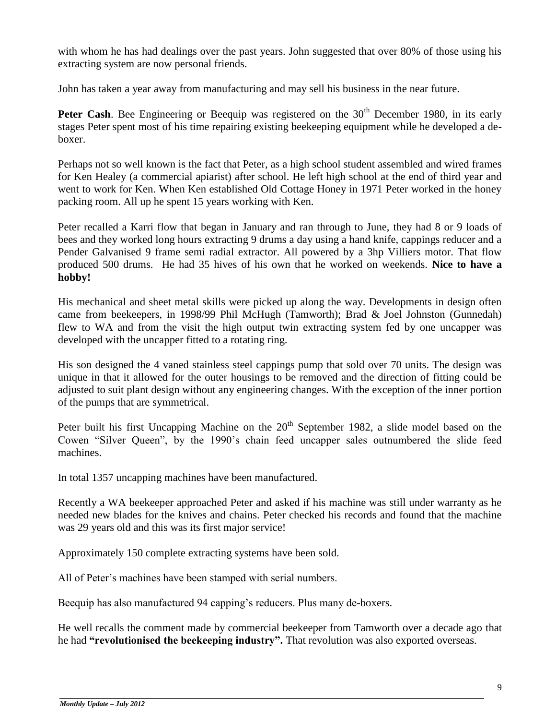with whom he has had dealings over the past years. John suggested that over 80% of those using his extracting system are now personal friends.

John has taken a year away from manufacturing and may sell his business in the near future.

**Peter Cash.** Bee Engineering or Beequip was registered on the 30<sup>th</sup> December 1980, in its early stages Peter spent most of his time repairing existing beekeeping equipment while he developed a deboxer.

Perhaps not so well known is the fact that Peter, as a high school student assembled and wired frames for Ken Healey (a commercial apiarist) after school. He left high school at the end of third year and went to work for Ken. When Ken established Old Cottage Honey in 1971 Peter worked in the honey packing room. All up he spent 15 years working with Ken.

Peter recalled a Karri flow that began in January and ran through to June, they had 8 or 9 loads of bees and they worked long hours extracting 9 drums a day using a hand knife, cappings reducer and a Pender Galvanised 9 frame semi radial extractor. All powered by a 3hp Villiers motor. That flow produced 500 drums. He had 35 hives of his own that he worked on weekends. **Nice to have a hobby!** 

His mechanical and sheet metal skills were picked up along the way. Developments in design often came from beekeepers, in 1998/99 Phil McHugh (Tamworth); Brad & Joel Johnston (Gunnedah) flew to WA and from the visit the high output twin extracting system fed by one uncapper was developed with the uncapper fitted to a rotating ring.

His son designed the 4 vaned stainless steel cappings pump that sold over 70 units. The design was unique in that it allowed for the outer housings to be removed and the direction of fitting could be adjusted to suit plant design without any engineering changes. With the exception of the inner portion of the pumps that are symmetrical.

Peter built his first Uncapping Machine on the  $20<sup>th</sup>$  September 1982, a slide model based on the Cowen "Silver Queen", by the 1990's chain feed uncapper sales outnumbered the slide feed machines.

In total 1357 uncapping machines have been manufactured.

Recently a WA beekeeper approached Peter and asked if his machine was still under warranty as he needed new blades for the knives and chains. Peter checked his records and found that the machine was 29 years old and this was its first major service!

Approximately 150 complete extracting systems have been sold.

All of Peter's machines have been stamped with serial numbers.

Beequip has also manufactured 94 capping's reducers. Plus many de-boxers.

He well recalls the comment made by commercial beekeeper from Tamworth over a decade ago that he had **"revolutionised the beekeeping industry".** That revolution was also exported overseas.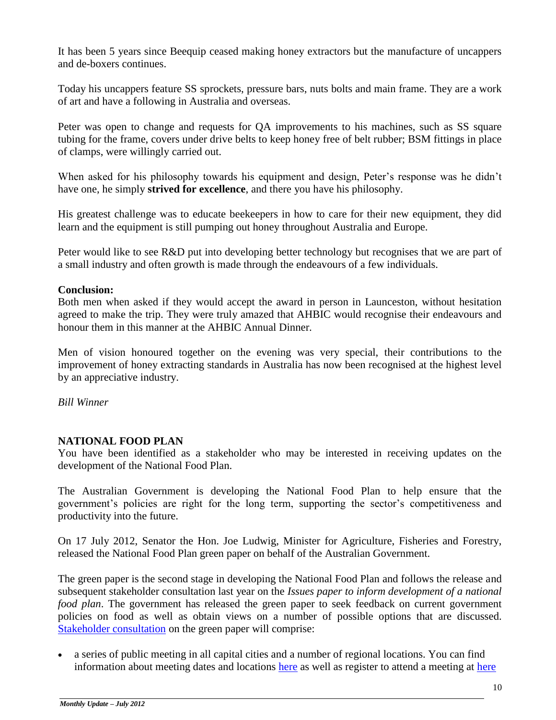It has been 5 years since Beequip ceased making honey extractors but the manufacture of uncappers and de-boxers continues.

Today his uncappers feature SS sprockets, pressure bars, nuts bolts and main frame. They are a work of art and have a following in Australia and overseas.

Peter was open to change and requests for QA improvements to his machines, such as SS square tubing for the frame, covers under drive belts to keep honey free of belt rubber; BSM fittings in place of clamps, were willingly carried out.

When asked for his philosophy towards his equipment and design, Peter's response was he didn't have one, he simply **strived for excellence**, and there you have his philosophy.

His greatest challenge was to educate beekeepers in how to care for their new equipment, they did learn and the equipment is still pumping out honey throughout Australia and Europe.

Peter would like to see R&D put into developing better technology but recognises that we are part of a small industry and often growth is made through the endeavours of a few individuals.

### **Conclusion:**

Both men when asked if they would accept the award in person in Launceston, without hesitation agreed to make the trip. They were truly amazed that AHBIC would recognise their endeavours and honour them in this manner at the AHBIC Annual Dinner.

Men of vision honoured together on the evening was very special, their contributions to the improvement of honey extracting standards in Australia has now been recognised at the highest level by an appreciative industry.

*Bill Winner*

# **NATIONAL FOOD PLAN**

You have been identified as a stakeholder who may be interested in receiving updates on the development of the National Food Plan.

The Australian Government is developing the National Food Plan to help ensure that the government's policies are right for the long term, supporting the sector's competitiveness and productivity into the future.

On 17 July 2012, Senator the Hon. Joe Ludwig, Minister for Agriculture, Fisheries and Forestry, released the National Food Plan green paper on behalf of the Australian Government.

The green paper is the second stage in developing the National Food Plan and follows the release and subsequent stakeholder consultation last year on the *Issues paper to inform development of a national food plan*. The government has released the green paper to seek feedback on current government policies on food as well as obtain views on a number of possible options that are discussed. [Stakeholder consultation](http://promomail.adrenalinmedia.com.au/ch/22934/2ddhzfm/1728584/7f9be12vzd.pdf) on the green paper will comprise:

 a series of public meeting in all capital cities and a number of regional locations. You can find information about meeting dates and locations [here](http://promomail.adrenalinmedia.com.au/ch/22934/2ddhzfm/1728605/7f9beczvz.pdf) as well as register to attend a meeting at [here](http://promomail.adrenalinmedia.com.au/ch/22934/2ddhzfm/1728585/7f9be2dvc.html)